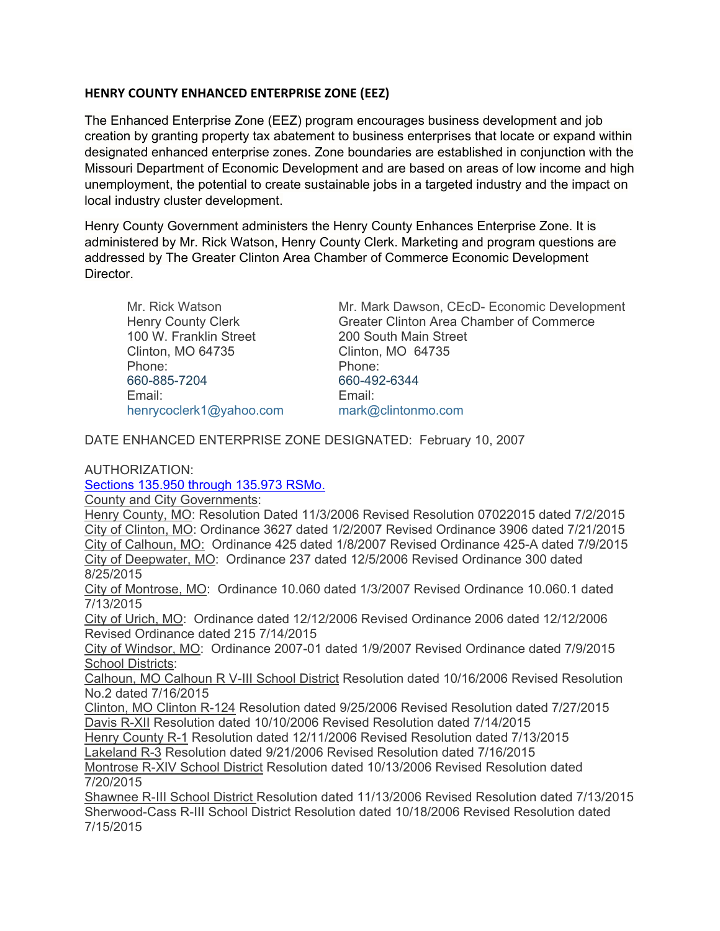## **HENRY COUNTY ENHANCED ENTERPRISE ZONE (EEZ)**

The Enhanced Enterprise Zone (EEZ) program encourages business development and job creation by granting property tax abatement to business enterprises that locate or expand within designated enhanced enterprise zones. Zone boundaries are established in conjunction with the Missouri Department of Economic Development and are based on areas of low income and high unemployment, the potential to create sustainable jobs in a targeted industry and the impact on local industry cluster development.

Henry County Government administers the Henry County Enhances Enterprise Zone. It is administered by Mr. Rick Watson, Henry County Clerk. Marketing and program questions are addressed by The Greater Clinton Area Chamber of Commerce Economic Development Director.

100 W. Franklin Street 200 South Main Street Clinton, MO 64735 Clinton, MO 64735 Phone: Phone: [660-885-7204](tel:660-885-7204) 660-492-6344 Email: Email: [henrycoclerk1@yahoo.com](mailto:henrycoclerk1@yahoo.com) mark@clintonmo.com

Mr. Rick Watson Mr. Mark Dawson, CEcD- Economic Development Henry County Clerk **Greater Clinton Area Chamber of Commerce** 

DATE ENHANCED ENTERPRISE ZONE DESIGNATED: February 10, 2007

AUTHORIZATION:

[Sections 135.950 through 135.973 RSMo.](https://revisor.mo.gov/main/OneChapter.aspx?chapter=135)

County and City Governments:

Henry County, MO: Resolution Dated 11/3/2006 Revised Resolution 07022015 dated 7/2/2015 City of Clinton, MO: Ordinance 3627 dated 1/2/2007 Revised Ordinance 3906 dated 7/21/2015 City of Calhoun, MO: Ordinance 425 dated 1/8/2007 Revised Ordinance 425-A dated 7/9/2015 City of Deepwater, MO: Ordinance 237 dated 12/5/2006 Revised Ordinance 300 dated 8/25/2015

City of Montrose, MO: Ordinance 10.060 dated 1/3/2007 Revised Ordinance 10.060.1 dated 7/13/2015

City of Urich, MO: Ordinance dated 12/12/2006 Revised Ordinance 2006 dated 12/12/2006 Revised Ordinance dated 215 7/14/2015

City of Windsor, MO: Ordinance 2007-01 dated 1/9/2007 Revised Ordinance dated 7/9/2015 School Districts:

Calhoun, MO Calhoun R V-III School District Resolution dated 10/16/2006 Revised Resolution No.2 dated 7/16/2015

Clinton, MO Clinton R-124 Resolution dated 9/25/2006 Revised Resolution dated 7/27/2015 Davis R-XII Resolution dated 10/10/2006 Revised Resolution dated 7/14/2015

Henry County R-1 Resolution dated 12/11/2006 Revised Resolution dated 7/13/2015

Lakeland R-3 Resolution dated 9/21/2006 Revised Resolution dated 7/16/2015

Montrose R-XIV School District Resolution dated 10/13/2006 Revised Resolution dated 7/20/2015

Shawnee R-III School District Resolution dated 11/13/2006 Revised Resolution dated 7/13/2015 Sherwood-Cass R-III School District Resolution dated 10/18/2006 Revised Resolution dated 7/15/2015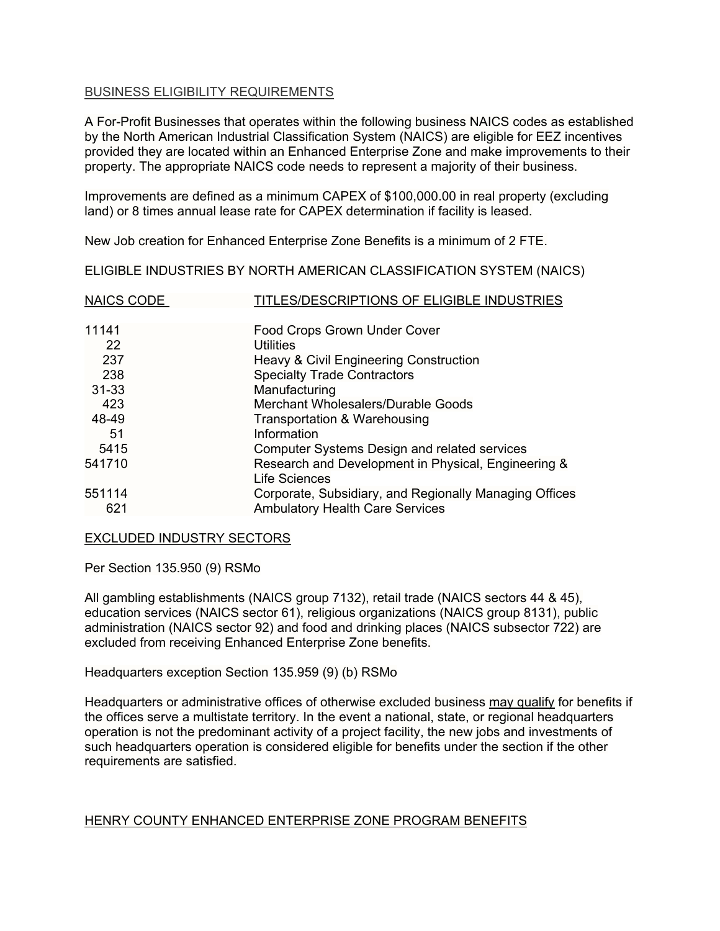#### BUSINESS ELIGIBILITY REQUIREMENTS

A For-Profit Businesses that operates within the following business NAICS codes as established by the North American Industrial Classification System (NAICS) are eligible for EEZ incentives provided they are located within an Enhanced Enterprise Zone and make improvements to their property. The appropriate NAICS code needs to represent a majority of their business.

Improvements are defined as a minimum CAPEX of \$100,000.00 in real property (excluding land) or 8 times annual lease rate for CAPEX determination if facility is leased.

New Job creation for Enhanced Enterprise Zone Benefits is a minimum of 2 FTE.

ELIGIBLE INDUSTRIES BY NORTH AMERICAN CLASSIFICATION SYSTEM (NAICS)

| <b>NAICS CODE</b> | TITLES/DESCRIPTIONS OF ELIGIBLE INDUSTRIES             |
|-------------------|--------------------------------------------------------|
| 11141             | <b>Food Crops Grown Under Cover</b>                    |
| 22                | <b>Utilities</b>                                       |
| 237               | Heavy & Civil Engineering Construction                 |
| 238               | <b>Specialty Trade Contractors</b>                     |
| $31 - 33$         | Manufacturing                                          |
| 423               | Merchant Wholesalers/Durable Goods                     |
| 48-49             | Transportation & Warehousing                           |
| 51                | Information                                            |
| 5415              | <b>Computer Systems Design and related services</b>    |
| 541710            | Research and Development in Physical, Engineering &    |
|                   | <b>Life Sciences</b>                                   |
| 551114            | Corporate, Subsidiary, and Regionally Managing Offices |
| 621               | <b>Ambulatory Health Care Services</b>                 |

#### EXCLUDED INDUSTRY SECTORS

Per Section 135.950 (9) RSMo

All gambling establishments (NAICS group 7132), retail trade (NAICS sectors 44 & 45), education services (NAICS sector 61), religious organizations (NAICS group 8131), public administration (NAICS sector 92) and food and drinking places (NAICS subsector 722) are excluded from receiving Enhanced Enterprise Zone benefits.

Headquarters exception Section 135.959 (9) (b) RSMo

Headquarters or administrative offices of otherwise excluded business may qualify for benefits if the offices serve a multistate territory. In the event a national, state, or regional headquarters operation is not the predominant activity of a project facility, the new jobs and investments of such headquarters operation is considered eligible for benefits under the section if the other requirements are satisfied.

## HENRY COUNTY ENHANCED ENTERPRISE ZONE PROGRAM BENEFITS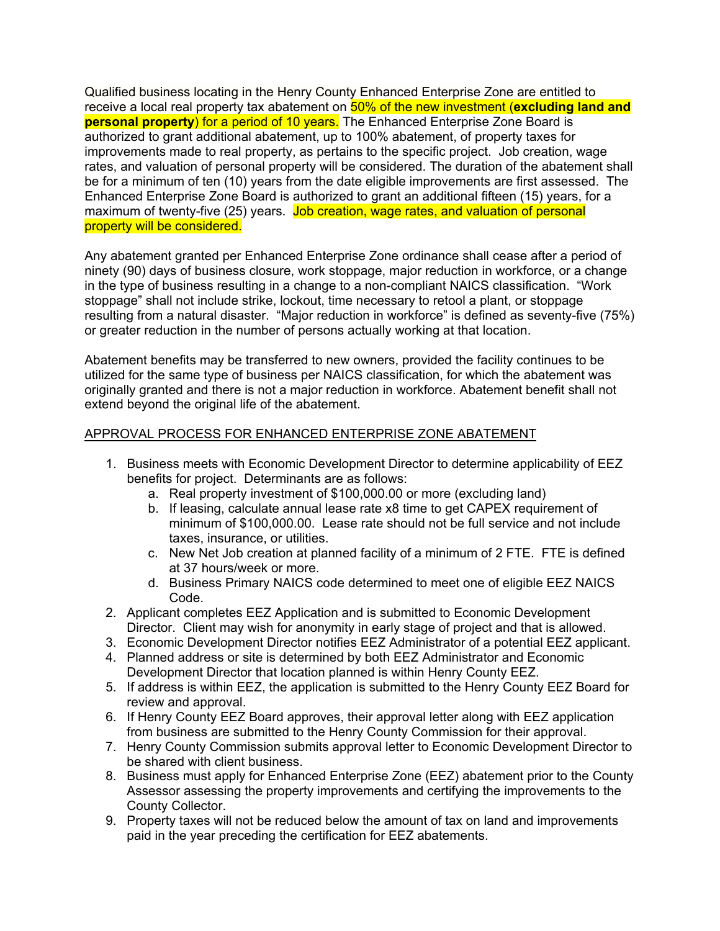Qualified business locating in the Henry County Enhanced Enterprise Zone are entitled to receive a local real property tax abatement on 50% of the new investment (**excluding land and personal property**) for a period of 10 years. The Enhanced Enterprise Zone Board is authorized to grant additional abatement, up to 100% abatement, of property taxes for improvements made to real property, as pertains to the specific project. Job creation, wage rates, and valuation of personal property will be considered. The duration of the abatement shall be for a minimum of ten (10) years from the date eligible improvements are first assessed. The Enhanced Enterprise Zone Board is authorized to grant an additional fifteen (15) years, for a maximum of twenty-five (25) years. Job creation, wage rates, and valuation of personal property will be considered.

Any abatement granted per Enhanced Enterprise Zone ordinance shall cease after a period of ninety (90) days of business closure, work stoppage, major reduction in workforce, or a change in the type of business resulting in a change to a non-compliant NAICS classification. "Work stoppage" shall not include strike, lockout, time necessary to retool a plant, or stoppage resulting from a natural disaster. "Major reduction in workforce" is defined as seventy-five (75%) or greater reduction in the number of persons actually working at that location.

Abatement benefits may be transferred to new owners, provided the facility continues to be utilized for the same type of business per NAICS classification, for which the abatement was originally granted and there is not a major reduction in workforce. Abatement benefit shall not extend beyond the original life of the abatement.

## APPROVAL PROCESS FOR ENHANCED ENTERPRISE ZONE ABATEMENT

- 1. Business meets with Economic Development Director to determine applicability of EEZ benefits for project. Determinants are as follows:
	- a. Real property investment of \$100,000.00 or more (excluding land)
	- b. If leasing, calculate annual lease rate x8 time to get CAPEX requirement of minimum of \$100,000.00. Lease rate should not be full service and not include taxes, insurance, or utilities.
	- c. New Net Job creation at planned facility of a minimum of 2 FTE. FTE is defined at 37 hours/week or more.
	- d. Business Primary NAICS code determined to meet one of eligible EEZ NAICS Code.
- 2. Applicant completes EEZ Application and is submitted to Economic Development Director. Client may wish for anonymity in early stage of project and that is allowed.
- 3. Economic Development Director notifies EEZ Administrator of a potential EEZ applicant.
- 4. Planned address or site is determined by both EEZ Administrator and Economic Development Director that location planned is within Henry County EEZ.
- 5. If address is within EEZ, the application is submitted to the Henry County EEZ Board for review and approval.
- 6. If Henry County EEZ Board approves, their approval letter along with EEZ application from business are submitted to the Henry County Commission for their approval.
- 7. Henry County Commission submits approval letter to Economic Development Director to be shared with client business.
- 8. Business must apply for Enhanced Enterprise Zone (EEZ) abatement prior to the County Assessor assessing the property improvements and certifying the improvements to the County Collector.
- 9. Property taxes will not be reduced below the amount of tax on land and improvements paid in the year preceding the certification for EEZ abatements.